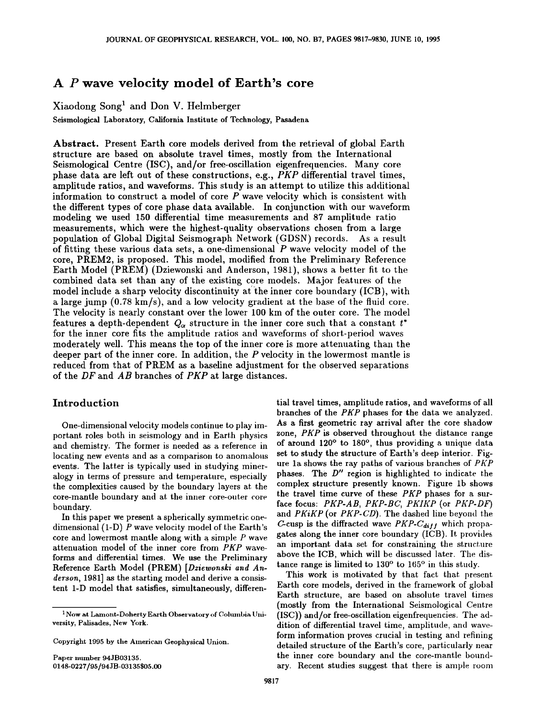# **A P wave velocity model of Earth's core**

Xiaodong Song<sup>1</sup>and Don V. Heimberger

Seismological Laboratory, California Institute of Technology, Pasadena

**Abstract.** Present Earth core models derived from the retrieval of global Earth structure are based on absolute travel times, mostly from the International Seismological Centre (ISC), and/or free-oscillation eigenfrequencies. Many core phase data are left out of these constructions, e.g., PKP differential travel times, amplitude ratios, and waveforms. This study is an attempt to utilize this additional information to construct a model of core *P* wave velocity which is consistent with the different types of core phase data available. In conjunction with our waveform modeling we used 150 differential time measurements and 87 amplitude ratio measurements, which were the highest-quality observations chosen from a large population of Global Digital Seismograph Network (GDSN) records. As a result of fitting these various data sets, a one-dimensional *P* wave velocity model of the core, PREM2, is proposed. This model, modified from the Preliminary Reference Earth Model (PREM) (Dziewonski and Anderson, 1981), shows a better fit to the combined data set than any of the existing core models. Major features of the model include a sharp velocity discontinuity at the inner core boundary  $(ICB)$ , with a large jump (0.78 km/s), and a low velocity gradient at the base of the fluid core. The velocity is nearly constant over the lower 100 km of the outer core. The model features a depth-dependent  $Q_{\alpha}$  structure in the inner core such that a constant  $t^*$ for the inner core fits the amplitude ratios and waveforms of short-period waves moderately well. This means the top of the inner core is more attenuating than the deeper part of the inner core. In addition, the P velocity in the lowermost mantle is reduced from that of PREM as a baseline adjustment for the observed separations of the  $DF$  and  $AB$  branches of  $PKP$  at large distances.

## **Introduction**

One-dimensional velocity models continue to play important roles both in seismology and in Earth physics and chemistry. The former is needed as a reference in locating new events and as a comparison to anomalous events. The latter is typically used in studying mineralogy in terms of pressure and temperature, especially the complexities caused by the boundary layers at the core-mantle boundary and at the inner core-outer core boundary.

In this paper we present a spherically symmetric onedimensional (1-D) P wave velocity model of the Earth's core and lowermost mantle along with *3:* simple *P* wave attenuation model of the inner core from *PKP* waveforms and differential times. We use the Preliminary Reference Earth Model (PREM) *[Dziewonski and Anderson,* 1981] as the starting model and derive a consistent 1-D model that satisfies, simultaneously, differen-

Paper number 94JB03135. 0148-0227/95/94JB-03135\$05.00 tial travel times, amplitude ratios, and waveforms of all branches of the *PKP* phases for the data we analyzed. As a first geometric ray arrival after the core shadow zone, *PKP* is observed throughout the distance range of around 120° to 180°, thus providing a unique data set to study the structure of Earth's deep interior. Figure 1a shows the ray paths of various branches of  $PKP$ phases. The  $D''$  region is highlighted to indicate the complex structure presently known. Figure 1b shows the travel time curve of these *PKP* phases for a surface focus: *PKP-AB, PKP-BC, PKIKP* (or *PKP-DF)*  and *PKiKP* (or *PKP-CD).* The dashed line beyond the C-cusp is the diffracted wave  $PKP-C_{diff}$  which propagates along the inner core boundary (ICB). It provides an important data set for constraining the structure. above the ICB, which will be discussed later. The distance range is limited to 130° to 165° in this study.

This work is motivated by that fact that present Earth core models, derived in the framework of global Earth structure, are based on absolute travel times (mostly from the International Seismological Centre (ISC)) and/or free-oscillation eigenfrequencies. The addition of differential travel time, amplitude, and waveform information proves crucial in testing and refining detailed structure of the Earth's core, particularly near the inner core boundary and the core-mantle boundary. Recent studies suggest that there is ample room

<sup>1</sup> Now at Lamont-Doherty Earth Observatory of Columbia University, Palisades, New York.

Copyright 1995 by the American Geophysical Union.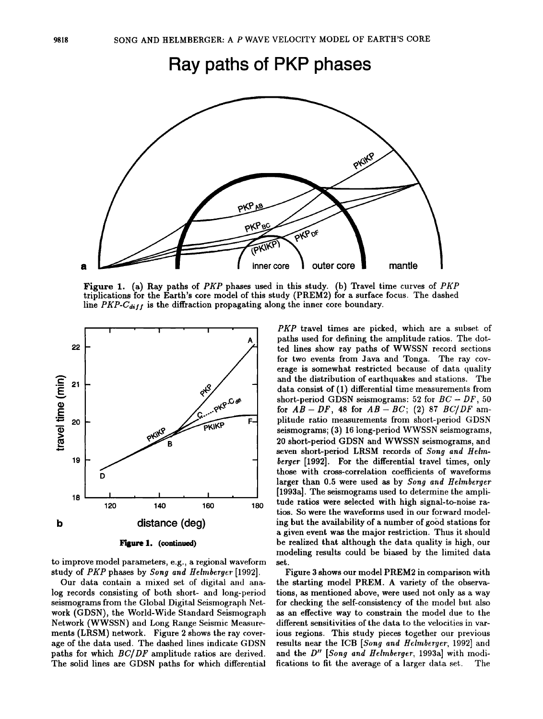**Ray paths of PKP phases** 



Figure 1. (a) Ray paths of *PKP* phases used in this study. (b) Travel time curves of *PKP*  triplications for the Earth's core model of this study (PREM2) for a surface focus. The dashed line  $PKP\text{-}C_{diff}$  is the diffraction propagating along the inner core boundary.



to improve model parameters, e.g., a regional waveform study of *PKP* phases by *Song and Helmberger* [1992].

Our data contain a mixed set. of digital and analog records consisting of both short- and long-period seismograms from the Global Digital Seismograph Network (GDSN), the World-Wide Standard Seismograph Network (WWSSN) and Long Range Seismic Measurements (LRSM) network. Figure 2 shows the ray coverage of the data used. The dashed lines indicate GDSN paths for which  $BC/DF$  amplitude ratios are derived. The solid lines are GDSN paths for which differential

*PKP* travel times are picked, which are a subset of paths used for defining the amplitude ratios. The dotted lines show ray paths of WWSSN record sections for two events from Java and Tonga. The ray coverage is somewhat restricted because of data quality and the distribution of earthquakes and stations. The data consist of  $(1)$  differential time measurements from short-period GDSN seismograms: 52 for  $BC - DF$ , 50 for  $AB - DF$ , 48 for  $AB - BC$ ; (2) 87  $BC/DF$  amplitude ratio measurements from short-period GDSN seismograms; (3) 16 long-period WWSSN seismograms, 20 short-period GDSN and WWSSN seismograms, and seven short-period LRSM records of *Song and Helmberger* [1992]. For the differential travel times, only those with cross-correlation coefficients of waveforms larger than 0.5 were used as by *Song and Heimberger*  [1993a]. The seismograms used to determine the amplitude ratios were selected with high signal-to-noise ratios. So were the waveforms used in our forward modeling but the availability of a number of good stations for a given event was the major restriction. Thus it should be realized that although the data quality is high, our modeling results could be biased by the limited data set.

Figure 3 shows our model PREM2 in comparison with the starting model PREM. A variety of the observations, as mentioned above, were used not only as a way for checking the self-consistency of the model but also as an effective way to constrain the model due to the different sensitivities of the data to the velocities in various regions. This study pieces together our previous results near the ICB [Song and Helmberger, 1992] and and the *D" [Song and Heimberger,* 1993a] with modifications to fit the average of a larger data set.. The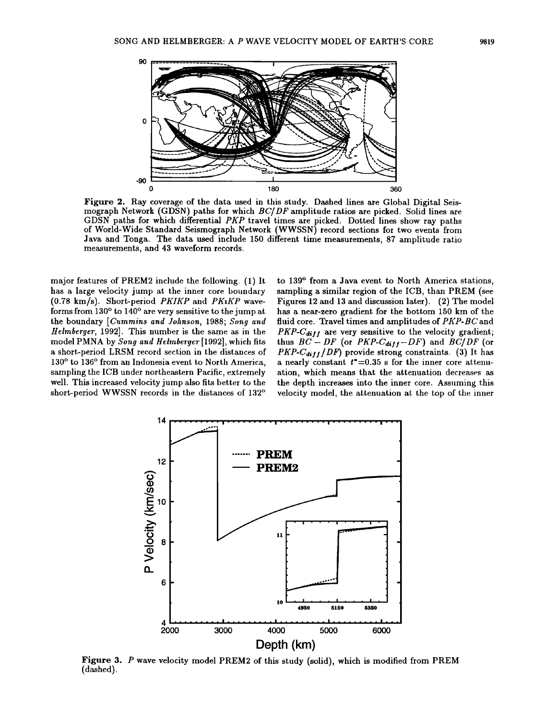

Figure 2. Ray coverage of the data used in this study. Dashed lines are Global Digital Seismograph Network (GDSN) paths for which  $BC/DF$  amplitude ratios are picked. Solid lines are GDSN paths for which differential PKP travel times are picked. Dotted lines show ray paths of World-Wide Standard Seismograph Network (WWSSN) record sections for two events from Java and Tonga. The data used include 150 different time measurements, 87 amplitude ratio measurements, and 43 waveform records.

major features of PREM2 include the following. (1) It. has a large velocity jump at the inner core boundary  $(0.78 \text{ km/s})$ . Short-period PKIKP and PK1KP waveforms from 130° to 140° are very sensitive to the jump at. the boundary *[Cummins and Johnson,* 1988; *Song and Heimberger,* 1992]. This number is the same as in the model PMNA by *Song and Helrnberyer·* [1992], which fits a short-period LRSM record section in the distances of 130° to 136° from an Indonesia event to North America, sampling the ICB under northeastern Pacific, extremely well. This increased velocity jump also fits better to the short-period WWSSN records in the distances of 132°

to 139° from a Java event to North America stations, sampling a similar region of the ICB, than PREM (see Figures 12 and 13 and discussion later). (2) The model has a near-zero gradient for the bottom 150 km of the fluid core. Travel times and amplitudes of PKP-BC and  $PKP\text{-}C_{diff}$  are very sensitive to the velocity gradient; thus  $BC - DF$  (or  $PKP\text{-}C_{diff}-DF$ ) and  $BC/DF$  (or  $PKP-C_{diff}/DF$ ) provide strong constraints. (3) It has a nearly constant  $t^*=0.35$  s for the inner core attenuation, which means that the attenuation decreases as the depth increases into the inner core. Assuming this velocity model, the attenuation at the top of the inner



Figure 3. P wave velocity model PREM2 of this study (solid), which is modified from PREM (dashed).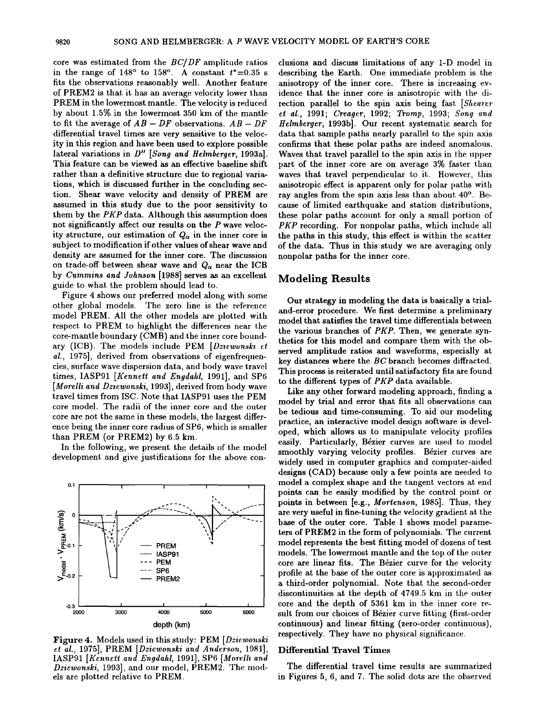core was estimated from the  $BC/DF$  amplitude ratios in the range of  $148^\circ$  to  $158^\circ$ . A constant  $t^*=0.35$  s fits the observations reasonably well. Another feature of PREM2 is that it has an average velocity lower than PREM in the lowermost mantle. The velocity is reduced by about  $1.5\%$  in the lowermost 350 km of the mantle to fit the average of  $AB - DF$  observations.  $AB - DF$ differential travel times are very sensitive to the velocity in this region and have been used to explore possible lateral variations in *D" [Song and Heimberger,* 1993a]. This feature can be viewed as an effective baseline shift rather than a definitive structure due to regional variations, which is discussed further in the concluding section. Shear wave velocity and density of PREM are assumed in this study due to the poor sensitivity to them by the *PKP* data. Although this assumption does not significantly affect our results on the *P* wave velocity structure, our estimation of  $Q_{\alpha}$  in the inner core is subject to modification if other values of shear wave and density are assumed for the inner core. The discussion on trade-off between shear wave and *Qa* near the ICB by *Cummins and Johnson* [1988] serves as an excellent guide to what the problem should lead to.

Figure 4 shows our preferred model along with some other global models. The zero line is the reference model PREM. All the other models are plotted with respect to PREM to highlight the differences near the core-mantle boundary (CMB) and the inner core boundary (ICB). The models include PEM *[Dziewonski et al.,* 1975], derived from observations of eigenfrequencies, surface wave dispersion data, and body wave travel times, IASP91 *[Kennett and Engdaltl,* 1991], and SP6 [Morelli and Dziewonski, 1993], derived from body wave travel times from ISC. Note that IASP91 uses the PEM core model. The radii of the inner core and the outer core are not the same in these models, the largest difference being the inner core radius of SP6, which is smaller than PREM (or PREM2) by 6.5 km.

In the following, we present the details of the model development and give justifications for the above con-



Figure 4. Models used in this study: PEM *[Dziewonski et al.,* 1975], PREM *[Dziewonski and Anderson,* 1981], IASP91 *[Kennett and Engdaltl,* 1991], SP6 *[Mordh and Dziewonski,* 1993], and our model, PREM2. The models are plotted relative to PREM.

elusions and discuss limitations of any 1-D model in describing the Earth. One immediate problem is the anisotropy of the inner core. There is increasing evidence that the inner core is anisotropic with the direction parallel to the spin axis being fast. *[Shearer et al.,* 1991; *Creager,* 1992; *Tromp,* 1993; *Song and Heimberger,* 1993b]. Our recent systematic search for data that sample paths nearly parallel to the spin axis confirms that these polar paths are indeed anomalous. Waves that travel parallel to the spin axis in the upper part of the inner .core are on average 3% faster than waves that travel perpendicular to it. However, this anisotropic effect is apparent only for polar paths with ray angles from the spin axis less than about 40°. Because of limited earthquake and station distributions, these polar paths account for only a small portion of *PKP* recording. For nonpolar paths, which include all the paths in this study, this effect is within the scatter of the data. Thus in this study we are averaging only nonpolar paths for the inner core.

## Modeling Results

Our strategy in modeling the data is basically a trialand-error procedure. We first determine a preliminary model that satisfies the travel time differentials between the various branches of *PKP.* Then, we generate synthetics for this model and compare them with the observed amplitude ratios and waveforms, especially at key distances where the BC branch becomes diffracted. This process is reiterated until satisfactory fits are found to the different types of *PKP* data available.

Like any other forward modeling approach, finding a model by trial and error that fits all observations can be tedious and time-consuming. To aid our modeling practice, an interactive model design software is developed, which allows us to manipulate velocity profiles easily. Particularly, Bézier curves are used to model smoothly varying velocity profiles. Bézier curves are widely used in computer graphics and computer-aided designs (CAD) because only a few points are needed to model a complex shape and the tangent vectors at end points can be easily modified by the control point or points in between [e.g., *Mortenson,* 1985]. Thus, they are very useful in fine-tuning the velocity gradient at the base of the outer core. Table 1 shows model parameters of PREM2 in the form of polynomials. The current model represents the best fitting model of dozens of test. models. The lowermost mantle and the top of the outer core are linear fits. The Bézier curve for the velocity profile at the base of the outer core is approximated as a third-order polynomial. Note that the second-order discontinuities at the depth of  $4749.5$  km in the outer core and the depth of 5361 km in the inner core result from our choices of Bézier curve fitting (first-order continuous) and linear fitting (zero-order continuous), respectively. They have no physical significance.

#### Differential Travel Times

The differential travel time results are summarized in Figures 5, 6, and 7. The solid dots are the observed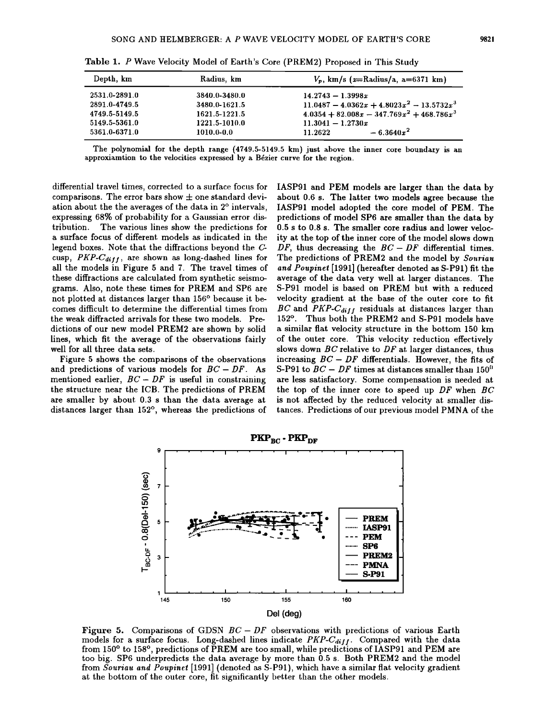| Depth, km     | Radius, km    | $V_p$ , km/s (x=Radius/a, a=6371 km)         |
|---------------|---------------|----------------------------------------------|
| 2531.0-2891.0 | 3840.0-3480.0 | $14.2743 - 1.3998x$                          |
| 2891.0-4749.5 | 3480.0-1621.5 | $11.0487 - 4.0362x + 4.8023x^2 - 13.5732x^3$ |
| 4749.5-5149.5 | 1621.5-1221.5 | $4.0354 + 82.008x - 347.769x^2 + 468.786x^3$ |
| 5149.5-5361.0 | 1221.5-1010.0 | $11.3041 - 1.2730x$                          |
| 5361.0-6371.0 | 1010.0-0.0    | $-6.3640x^2$<br>11.2622                      |

Table 1. P Wave Velocity Model of Earth's Core (PREM2) Proposed in This Study

The polynomial for the depth range (4749.5-5149.5 km) just above the inner core boundary is an approxiamtion to the velocities expressed by a Bézier curve for the region.

differential travel times, corrected to a surface focus for comparisons. The error bars show  $\pm$  one standard deviation about the the averages of the data in 2° intervals, expressing 68% of probability for a Gaussian error dis-The various lines show the predictions for a surface focus of different. models as indicated in the legend boxes. Note that the diffractions beyond the G' cusp, *PKP-Cdifl,* are shown as long-dashed lines for all the models in Figure 5 and 7. The travel times of these diffractions are calculated from synthetic seismograms. Also, note these times for PREM and SP6 are not plotted at distances larger than 156° because it becomes difficult to determine the differential times from the weak diffracted arrivals for these two models. Predictions of our new model PREM2 are shown by solid lines, which fit the average of the observations fairly well for all three data sets.

Figure 5 shows the comparisons of the observations and predictions of various models for  $BC - DF$ . As mentioned earlier,  $BC - DF$  is useful in constraining the structure near the ICB. The predictions of PREM are smaller by about. 0.3 s than the data average at distances larger than 152°, whereas the predictions of IASP91 and PEM models are larger than the data by about 0.6 s. The latter two models agree because the IASP91 model adopted the core model of PEM. The predictions of model SP6 are smaller than the data by 0.5 s to 0.8 s. The smaller core radius and lower velocity at the top of the inner core of the model slows down DF, thus decreasing the  $BC - DF$  differential times. The predictions of PREM2 and the model by *Souriau* and Poupinet [1991] (hereafter denoted as S-P91) fit the average of the data very well at larger distances. The S-P91 model is based on PREM but. with a reduced velocity gradient at the base of the outer core to fit  $BC$  and  $PKP\text{-}C_{diff}$  residuals at distances larger than 152°. Thus both the PREM2 and S-P91 models have a similar flat velocity structure in the bottom 150 km of the outer core. This velocity reduction effectively slows down  $BC$  relative to  $DF$  at larger distances, thus increasing  $BC - DF$  differentials. However, the fits of S-P91 to  $BC - DF$  times at distances smaller than 150<sup>0</sup> are less satisfactory. Some compensation is needed at. the top of the inner core to speed up  $DF$  when  $BC$ is not affected by the reduced velocity at. smaller distances. Predictions of our previous model PMNA of the



Figure 5. Comparisons of GDSN  $BC - DF$  observations with predictions of various Earth models for a surface focus. Long-dashed lines indicate *PKP-C<sub>diff</sub>*. Compared with the data from 150° to 158°, predictions of PREM are too small, while predictions of IASP91 and PEM are too big. SP6 underpredicts the data average by more than 0.5 s. Both PREM2 and the model from *Souriau and Poupinet* [1991] (denoted as S-P91), which have a similar flat. velocity gradient. at the bottom of the outer core, fit significantly better than the other models.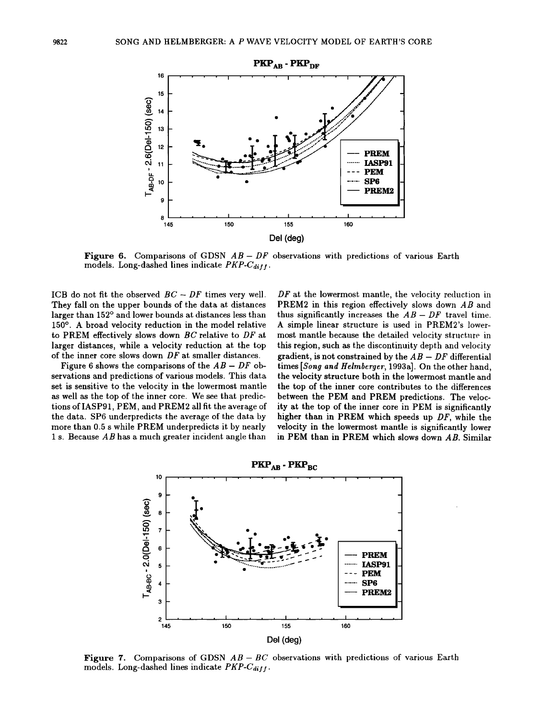

**Figure 6.** Comparisons of GDSN  $AB - DF$  observations with predictions of various Earth models. Long-dashed lines indicate  $PKP\text{-}C_{diff}$ .

ICB do not fit the observed  $BC - DF$  times very well. They fall on the upper bounds of the data at distances larger than 152° and lower bounds at distances less than 150°. A broad velocity reduction in the model relative to PREM effectively slows down  $BC$  relative to  $DF$  at larger distances, while a velocity reduction at. the top of the inner core slows down  $DF$  at smaller distances.

Figure 6 shows the comparisons of the  $AB - DF$  observations and predictions of various models. This data set is sensitive to the velocity in the lowermost mantle as well as the top of the inner core. We see that predictions of IASP91, PEM, and PREM2 all fit the average of the data. SP6 underpredicts the average of the data by more than 0.5 s while PREM underpredicts it by nearly 1 s. Because  $AB$  has a much greater incident angle than

 $DF$  at the lowermost mantle, the velocity reduction in PREM2 in this region effectively slows down AB and thus significantly increases the  $AB - DF$  travel time. A simple linear structure is used in PREM2's lowermost mantle because the detailed velocity structure in this region, such as the discontinuity depth and velocity gradient, is not constrained by the  $AB-DF$  differential times *[Song and Heimberger,* 1993a]. On the other hand, the velocity structure both in the lowermost mantle and the top of the inner core contributes to the differences between the PEM and PREM predictions. The velocity at the top of the inner core in PEM is significantly higher than in PREM which speeds up DF, while the velocity in the lowermost mantle is significantly lower in PEM than in PREM which slows down AB. Similar





Figure 7. Comparisons of GDSN  $AB - BC$  observations with predictions of various Earth models. Long-dashed lines indicate  $PKP\text{-}C_{diff}$ .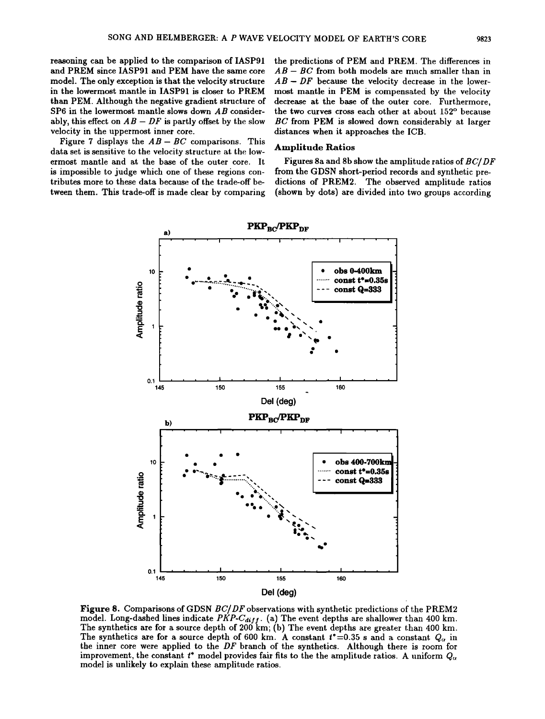reasoning can be applied to the comparison of IASP91 and PREM since IASP91 and PEM have the same core model. The only exception is that the velocity structure in the lowermost mantle in IASP91 is closer to PREM than PEM. Although the negative gradient structure of SP6 in the lowermost mantle slows down  $AB$  considerably, this effect on  $AB - DF$  is partly offset by the slow velocity in the uppermost inner core.

Figure 7 displays the  $AB - BC$  comparisons. This data set is sensitive to the velocity structure at. the lowermost mantle and at the base of the outer core. It is impossible to judge which one of these regions contributes more to these data because of the trade-off between them. This trade-off is made clear by comparing the predictions of PEM and PREM. The differences in  $AB - BC$  from both models are much smaller than in  $AB - DF$  because the velocity decrease in the lowermost mantle in PEM is compensated by the velocity decrease at the base of the outer core. Furthermore, the two curves cross each other at about 152° because BC from PEM is slowed down considerably at larger distances when it approaches the ICB.

#### Amplitude Ratios

Figures 8a and 8b show the amplitude ratios of BC/ DF from the GDSN short-period records and synthetic predictions of PREM2. The observed amplitude ratios (shown by dots) are divided into two groups according



Figure 8. Comparisons of GDSN  $BC/DF$  observations with synthetic predictions of the PREM2 model. Long-dashed lines indicate  $PKP\text{-}C_{diff}$ . (a) The event depths are shallower than 400 km. The synthetics are for a source depth of  $200 \text{ km}$ ; (b) The event depths are greater than  $400 \text{ km}$ . The synthetics are for a source depth of 600 km. A constant  $t^*=0.35$  s and a constant.  $Q_{\alpha}$  in the inner core were applied to the  $DF$  branch of the synthetics. Although there is room for improvement, the constant  $t^*$  model provides fair fits to the the amplitude ratios. A uniform  $Q_{\alpha}$ model is unlikely to explain these amplitude ratios.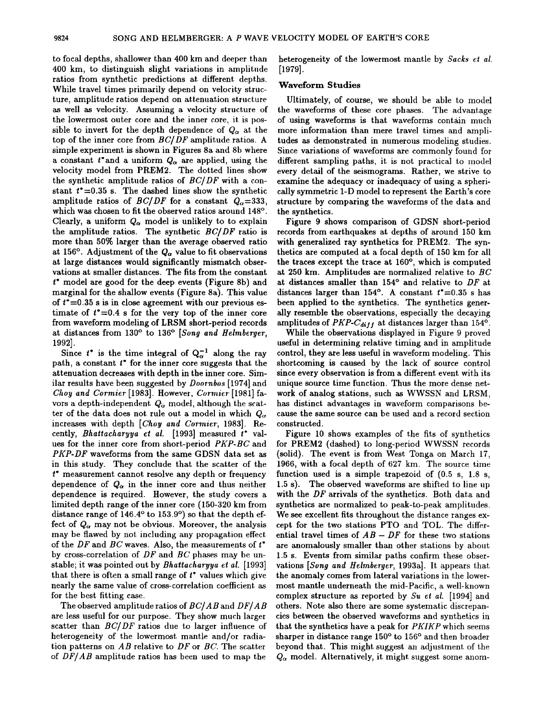to focal depths, shallower than 400 km and deeper than 400 km, to distinguish slight variations in amplitude ratios from synthetic predictions at different depths. While travel times primarily depend on velocity structure, amplitude ratios depend on attenuation structure as well as velocity. Assuming a velocity structure of the lowermost outer core and the inner core, it is possible to invert for the depth dependence of  $Q_{\alpha}$  at the top of the inner core from *BC/ DF* amplitude ratios. A simple experiment is shown in Figures 8a and 8b where a constant  $t^*$  and a uniform  $Q_\alpha$  are applied, using the velocity model from PREM2. The dotted lines show the synthetic amplitude ratios of *BC/ DF* with a constant  $t^*$  =0.35 s. The dashed lines show the synthetic amplitude ratios of *BC/DF* for a constant  $Q_{\alpha}=333$ , which was chosen to fit the observed ratios around 148°. Clearly, a uniform  $Q_{\alpha}$  model is unlikely to to explain the amplitude ratios. The synthetic *BC/ DF* ratio is more than 50% larger than the average observed ratio at 156°. Adjustment of the  $Q_{\alpha}$  value to fit observations at large distances would significantly mismatch observations at smaller distances. The fits from the constant *t•* model are good for the deep events (Figure 8b) and marginal for the shallow events (Figure 8a). This value of  $t^*=0.35$  s is in close agreement with our previous estimate of *t\*=0.4* s for the very top of the inner core from waveform modeling of LRSM short-period records at distances from 130° to 136° *[Song and Heimberger,*  1992].

Since  $t^*$  is the time integral of  $Q_{\alpha}^{-1}$  along the ray path, a constant *t•* for the inner core suggests that the attenuation decreases with depth in the inner core. Similar results have been suggested by *Doornbos* [1974] and *Choy and Cormier* [1983]. However, *Connicr·* [1981] favors a depth-independent.  $Q_{\alpha}$  model, although the scatter of the data does not rule out a model in which  $Q_{\alpha}$ increases with depth [*Choy and Cormier*, 1983]. Recently, *Bhattacharyya et al.* [1993] measured *t\** values for the inner core from short-period *PKP-BC* and *PKP-DF* waveforms from the same GDSN data set as in this study. They conclude that the scatter of the *t•* measurement cannot resolve any depth or frequency dependence of  $Q_{\alpha}$  in the inner core and thus neither dependence is required. However, the study covers a limited depth range of the inner core (150-320 km from distance range of 146.4° to 153.9°) so that the depth effect of  $Q_{\alpha}$  may not be obvious. Moreover, the analysis may be flawed by not including any propagation effect. of the *DF* and *BC* waves. Also, the measurements of  $t^*$ by cross-correlation of *DF* and *BC* phases may be unstable; it was pointed out by *Bhattacharyya* et *al.* [1993] that there is often a small range of *t•* values which give nearly the same value of cross-correlation coefficient. as for the best fitting case.

The observed amplituderatiosof *BC/ABand DF/AB*  are less useful for our purpose. They show much larger scatter than *BC/DF* ratios due to larger influence of heterogeneity of the lowermost mantle and/or radiation patterns on *AB* relative to *DF* or *BC.* The scatter of *DF/AB* amplitude ratios has been used to map the

heterogeneity of the lowermost mantle by *Sacks et al.* [1979].

#### Waveform Studies

Ultimately, of course, we should be able to model the waveforms of these core phases. The advantage of using waveforms is that waveforms contain much more information than mere travel times and amplitudes as demonstrated in numerous modeling studies. Since variations of waveforms are commonly found for different sampling paths, it is not practical to model every detail of the seismograms. Rather, we strive to examine the adequacy or inadequacy of using a spherically symmetric 1-D model to represent the Earth's core structure by comparing the waveforms of the data and the synthetics.

Figure 9 shows comparison of GDSN short-period records from earthquakes at depths of around 150 km with generalized ray synthetics for PREM2. The synthetics are computed at a focal depth of 150 km for all the traces except the trace at 160°, which is computed at 250 km. Amplitudes are normalized relative to *BC*  at distances smaller than 154° and relative to *DF* at distances larger than  $154^\circ$ . A constant  $t^* = 0.35$  s has been applied to the synthetics. The synthetics generally resemble the observations, especially the decaying amplitudes of *PKP-C<sub>diff</sub>* at distances larger than 154°.

While the observations displayed in Figure 9 proved useful in determining relative timing and in amplitude control, they are less useful in waveform modeling. This shortcoming is caused by the lack of source control since every observation is from a different event with its unique source time function. Thus the more dense network of analog stations, such as WWSSN and LRSM, has distinct advantages in waveform comparisons because the same source can be used and a record section constructed.

Figure 10 shows examples of the fits of synthetics for PREM2 (dashed) to long-period WWSSN records (solid). The event is from West. Tonga on March 17, 1966, with a focal depth of 627 km. The source time function used is a simple trapezoid of (0.5 s, 1.8 s, 1.5 s). The observed waveforms are shifted to line up with the *DF* arrivals of the synthetics. Both data and synthetics are normalized to peak-to-peak amplitudes. We see excellent fits throughout the distance ranges except for the two stations PTO and TOL. The differential travel times of  $AB - DF$  for these two stations are anomalously smaller than other stations by about 1.5 s. Events from similar paths confirm these observations *[Song and Heimberger,* 1993a]. It appears that the anomaly comes from lateral variations in the lowermost mantle underneath the mid-Pacific, a well-known complex structure as reported by *Su et al.* [1994] and others. Note also there are some systematic discrepancies between the observed waveforms and synthetics in that the synthetics have a peak for *PKIKPwhich* seems sharper in distance range 150° to 156° and then broader beyond that. This might suggest an adjustment of the  $Q_{\alpha}$  model. Alternatively, it might suggest some anom-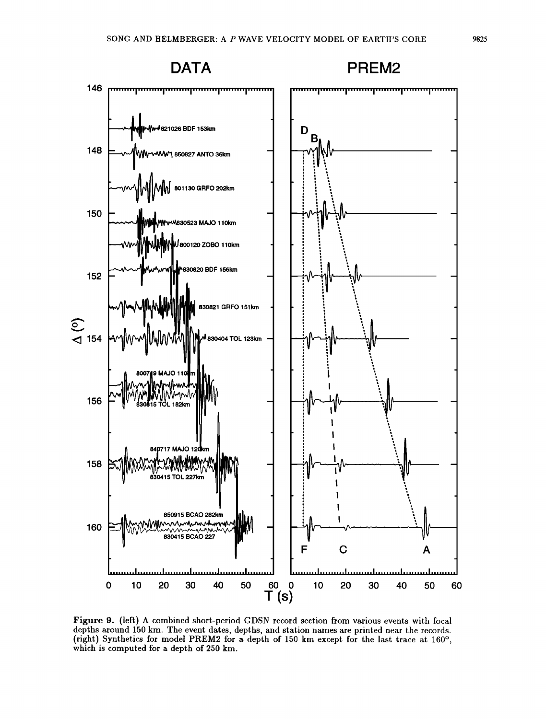

Figure 9. (left) A combined short-period GDSN record section from various events with focal depths around 150 km. The event dates, depths, and station names are printed near the records. (right) Synthetics for model PREM2 for a depth of 150 km except for the last. trace at 160°, which is computed for a depth of 250 km.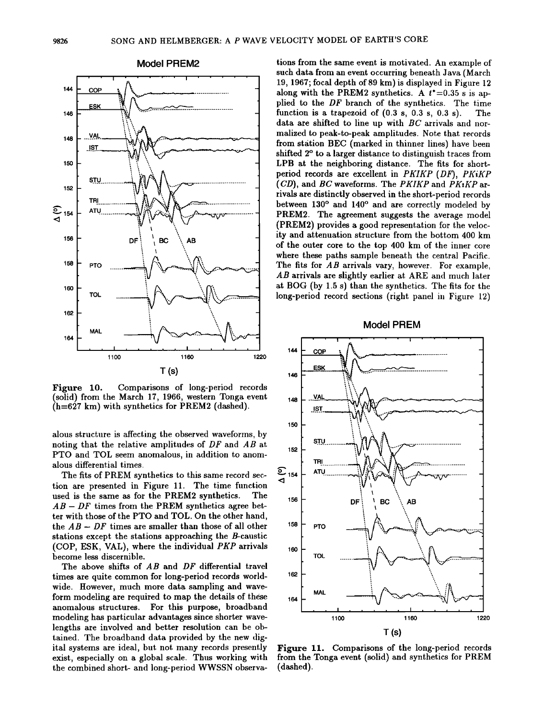

Model PREM2

Figure 10. Comparisons of long-period records (solid) from the March 17, 1966, western Tonga event (h=627 km) with synthetics for PREM2 (dashed).

alous structure is affecting the observed waveforms, by noting that the relative amplitudes of  $DF$  and  $AB$  at. PTO and TOL seem anomalous, in addition to anomalous differential times.

The fits of PREM synthetics to this same record section are presented in Figure 11. The time function used is the same as for the PREM2 synthetics. The  $AB - DF$  times from the PREM synthetics agree better with those of the PTO and TOL. On the other hand, the  $AB - DF$  times are smaller than those of all other stations except the stations approaching the B-caustic (COP, ESK, VAL), where the individual *PKP* arrivals become less discernible.

The above shifts of  $AB$  and  $DF$  differential travel times are quite common for long-period records worldwide. However, much more data sampling and waveform modeling are required to map the details of these anomalous structures. For this purpose, broadband modeling has particular advantages since shorter wavelengths are involved and better resolution can be obtained. The broadband data provided by the new digital systems are ideal, but. not. many records presently exist, especially on a global scale. Thus working with the combined short- and long-period WWSSN observations from the same event is motivated. An example of such data from an event occurring beneath Java (March 19, 1967; focal depth of89 km) is displayed in Figure 12 along with the PREM2 synthetics. A  $t^*=0.35$  s is applied to the DF branch of the synthetics. The time function is a trapezoid of  $(0.3 \text{ s}, 0.3 \text{ s}, 0.3 \text{ s})$ . The data are shifted to line up with BC arrivals and normalized to peak-to-peak amplitudes. Note that records from station BEC (marked in thinner lines) have been shifted 2° to a larger distance to distinguish traces from LPB at the neighboring distance. The fits for shortperiod records are excellent in *PKIKP (DF), PKiKP (CD)*, and *BC* waveforms. The *PKIKP* and *PKIKP* arrivals are distinctly observed in the short-period records between 130° and 140° and are correctly modeled by PREM2. The agreement suggests the average model (PREM2) provides a good representation for the velocity and attenuation structure from the bottom 400 km of the outer core to the top 400 km of the inner core where these paths sample beneath the central Pacific. The fits for  $AB$  arrivals vary, however. For example, AB arrivals are slightly earlier at ARE and much later at BOG (by 1.5 s) than the synthetics. The fits for the long-period record sections (right panel in Figure 12)

Model PREM



Figure 11. Comparisons of the long-period records from the Tonga event (solid) and synthetics for PREM (dashed).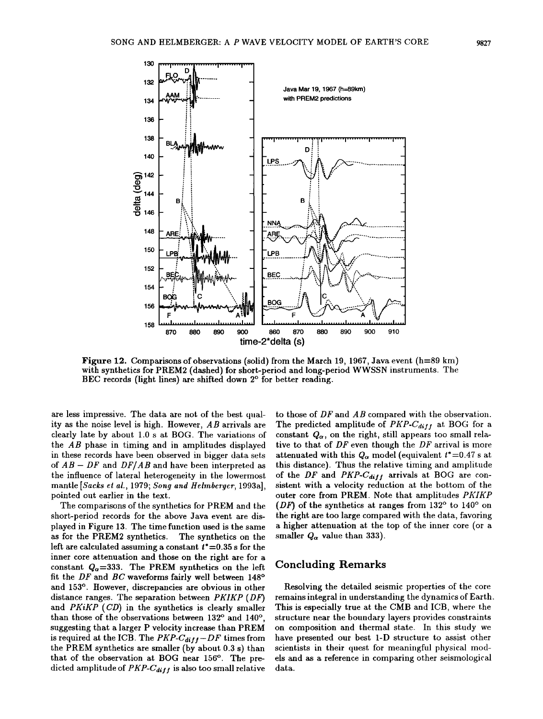

Figure 12. Comparisons of observations (solid) from the March 19, 1967, Java event (h=89 km) with synthetics for PREM2 (dashed) for short-period and long-period WWSSN instruments. The BEC records (light lines) are shifted down 2° for better reading.

are less impressive. The data are not of the best quality as the noise level is high. However, *AB* arrivals are clearly late by about 1.0 s at BOG. The variations of the *AB* phase in timing and in amplitudes displayed in these records have been observed in bigger data sets of AB- *DF* and *DF/* AB and have been interpreted as the influence of lateral heterogeneity in the lowermost mantle *[Sacks et al., 1979; Song and Helmberger, 1993a]*, pointed out earlier in the text.

The comparisons of the synthetics for PREM and the short-period records for the above Java event are displayed in Figure 13. The time function used is the same as for the PREM2 synthetics. The synthetics on the left are calculated assuming a constant  $t^*=0.35$  s for the inner core attenuation and those on the right are for a constant  $Q_0 = 333$ . The PREM synthetics on the left fit the *DF* and *BC* waveforms fairly well between 148° and 153°. However, discrepancies are obvious in other distance ranges. The separation between *PKIKP (DF)*  and *PKiKP (CD)* in the synthetics is clearly smaller than those of the observations between 132° and 140°, suggesting that a larger P velocity increase than PREM is required at the ICB. The *PKP-C<sub>diff</sub>-DF* times from the PREM synthetics are smaller (by about 0.3 s) than that of the observation at BOG near 156°. The predicted amplitude of *PKP-Cdifl* is also too small relative

to those of *DF* and *AB* compared with the observation. The predicted amplitude of *PKP-C<sub>diff</sub>* at BOG for a constant  $Q_{\alpha}$ , on the right, still appears too small relative to that of *DF* even though the *DF* arrival is more attenuated with this  $Q_{\alpha}$  model (equivalent  $t^*=0.47$  s at this distance). Thus the relative timing and amplitude of the DF and PKP-C<sub>diff</sub> arrivals at BOG are consistent with a velocity reduction at the bottom of the outer core from PREM. Note that amplitudes *PKIKP (DF)* of the synthetics at ranges from 132° to 140° on the right are too large compared with the data, favoring a higher attenuation at the top of the inner core (or a smaller  $Q_{\alpha}$  value than 333).

## Concluding Remarks

Resolving the detailed seismic properties of the core remains integral in understanding the dynamics of Earth. This is especially true at the CMB and ICB, where the structure near the boundary layers provides constraints on composition and thermal state. In this study we have presented our best 1-D structure to assist other scientists in their quest for meaningful physical models and as a reference in comparing other seismological data.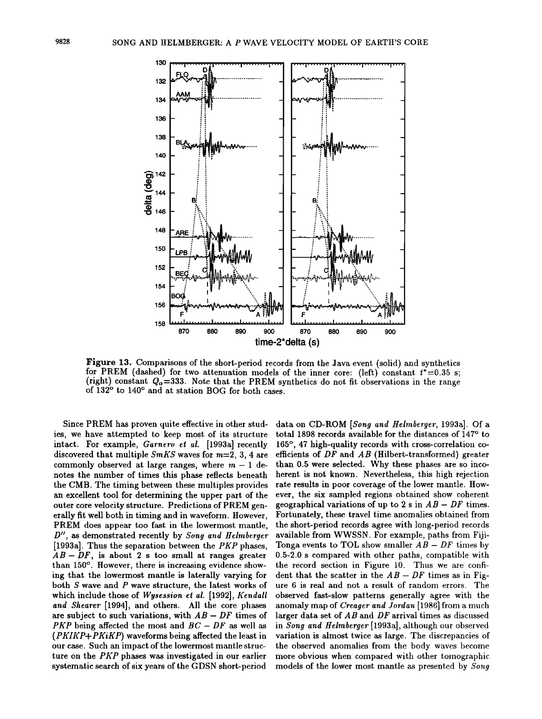

Figure 13. Comparisons of the short-period records from the Java event (solid) and synthetics for PREM (dashed) for two attenuation models of the inner core: (left) constant  $t^*=0.35$  s; (right) constant  $Q_{\alpha}=333$ . Note that the PREM synthetics do not fit observations in the range of 132° to 140° and at station BOG for both cases.

Since PREM has proven quite effective in other studies, we have attempted to keep most of its structure intact. For example, *Garnero et al.* [1993a] recently discovered that multiple  $SmKS$  waves for  $m=2, 3, 4$  are commonly observed at large ranges, where  $m - 1$  denotes the number of times this phase reflects beneath the CMB. The timing between these multiples provides an excellent tool for determining the upper part of the outer core velocity structure. Predictions of PREM generally fit well both in timing and in waveform. However, PREM does appear too fast in the lowermost mantle. *D"*, as demonstrated recently by *Song and Helmberger* [1993a]. Thus the separation between the *PKP* phases,  $AB - DF$ , is about 2 s too small at ranges greater than 150°. However, there is increasing evidence showing that the lowermost mantle is laterally varying for both S wave and P wave structure, the latest works of which include those of *Wysession et a/\_* [1992], *Kendall and Shearer* [1994], and others. All the core phases are subject to such variations, with  $AB - DF$  times of *PKP* being affected the most and  $BC - DF$  as well as *(PKIKP+PKiKP)* waveforms being affected the least in our case. Such an impact of the lowermost mantle structure on the *PKP* phases was investigated in our earlier systematic search of six years of the GDSN short-period

data on CD-ROM *[Song and Helmberger, 1993a]*. Of a total 1898 records available for the distances of 147° to 165°, 47 high-quality records with cross-correlation coefficients of  $DF$  and  $AB$  (Hilbert-transformed) greater than 0.5 were selected. Why these phases are so incoherent is not known. Nevertheless, this high rejection rate results in poor coverage of the lower mantle. However, the six sampled regions obtained show coherent geographical variations of up to 2 s in  $AB - DF$  times. Fortunately, these travel time anomalies obtained from the short-period records agree with long-period records available from WWSSN. For example, paths from Fiji-Tonga events to TOL show smaller  $AB - DF$  times by 0.5-2.0 s compared with other paths, compatible with the record section in Figure 10. Thus we are confident that the scatter in the  $AB - DF$  times as in Figure 6 is real and not a result of random errors. The observed fast-slow patterns generally agree with the anomaly map of *Creager and Jordan* [1986) from a much larger data set of  $AB$  and  $DF$  arrival times as discussed in *Song and Heimberger* [1993a), although our observed variation is almost twice as large. The discrepancies of the observed anomalies from the body waves become more obvious when compared with other tomographic models of the lower most mantle as presented by *Song*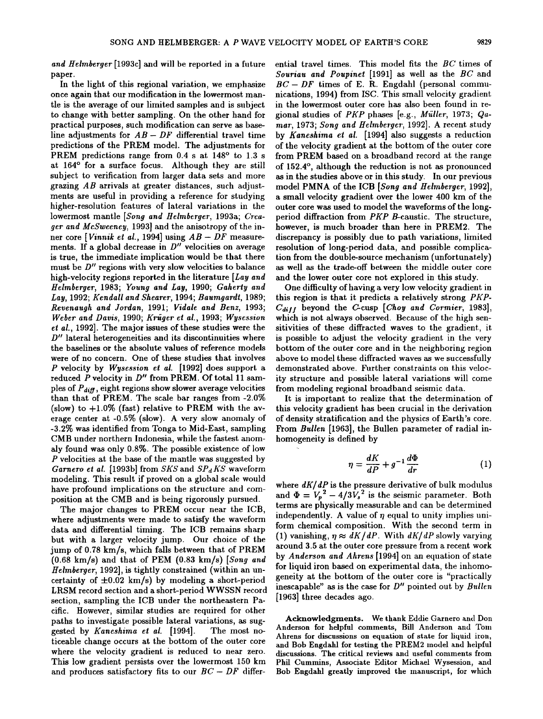*and Heimberger* [1993c] and will be reported in a future paper.

In the light of this regional variation, we emphasize once again that our modification in the lowermost mantle is the average of our limited samples and is subject to change with better sampling. On the other hand for practical purposes, such modification can serve as baseline adjustments for *AB- DF* differential travel time predictions of the PREM model. The adjustments for PREM predictions range from 0.4 s at 148° to 1.3 s at 164° for a surface focus. Although they are still subject to verification from larger data sets and more grazing *AB* arrivals at greater distances, such adjustments are useful in providing a reference for studying higher-resolution features of lateral variations in the lowermost mantle [Song and Helmberger, 1993a; Creager and McSweeney, 1993] and the anisotropy of the inner core *[Vinnik eta/.,* 1994] using *AB- DF* measurements. If a global decrease in *D"* velocities on average is true, the immediate implication would be that there must be *D"* regions with very slow velocities to balance high-velocity regions reported in the literature *[Lay and Heimberger,* 1983; *Young and Lay,* 1990; *Gaherty and Lay,* 1992; *Kendall and Shearer,* 1994; *Baumgardt,* 1989; *Revenaugh and Jordan,* 1991; *Vidale and Benz,* 1993; *Weber and Davis,* 1990; *Kriiger et a/.,* 1993; *Wyscssion et a/.,* 1992]. The major issues of these studies were the *D"* lateral heterogeneities and its discontinuities where the baselines or the absolute values of reference models were of no concern. One of these studies that involves *P* velocity by *Wysession et a/.* [1992] does support a reduced P velocity in D" from PREM. Of total 11 samples of  $P_{diff}$ , eight regions show slower average velocities than that of PREM. The scale bar ranges from -2.0% (slow) to  $+1.0\%$  (fast) relative to PREM with the average center at -0.5% (slow). A very slow anomaly of -3.2% was identified from Tonga to Mid-East, sampling CMB under northern Indonesia, while the fastest anomaly found was only 0.8%. The possible existence of low P velocities at the base of the mantle was suggested by *Garnero et al.* [1993b] from *SKS* and *SPdKS* waveform modeling. This result if proved on a global scale would have profound implications on the structure and composition at the CMB and is being rigorously pursued.

The major changes to PREM occur near the ICB, where adjustments were made to satisfy the waveform data and differential timing. The ICB remains sharp but with a larger velocity jump. Our choice of the jump of  $0.78 \text{ km/s}$ , which falls between that of PREM (0.68 km/s) and that of PEM (0.83 km/s) *[Song and H elmberger,* 1992], is tightly constrained (within an uncertainty of  $\pm 0.02$  km/s) by modeling a short-period LRSM record section and a short-period WWSSN record section, sampling the ICB under the northeastern Pacific. However, similar studies are required for other paths to investigate possible lateral variations, as suggested by *Kaneshima et a/.* [1994]. The most. noticeable change occurs at the bottom of the outer core where the velocity gradient is reduced to near zero. This low gradient persists over the lowermost 150 km and produces satisfactory fits to our  $BC - DF$  differential travel times. This model fits the *BC* times of *Souriau and Poupinet* [1991] as well as the *BC* and  $BC - DF$  times of E. R. Engdahl (personal communications, 1994) from ISC. This small velocity gradient in the lowermost outer core has also been found in regional studies of *PKP* phases [e.g., *M1"iller,* 1973; *Qamar,* 1973; *Song and Helmberycr·,* 1992]. A recent study by *Kaneshima et al.* [1994] also suggests a reduction of the velocity gradient at the bottom of the outer core from PREM based on a broadband record at the range of 152.4°, although the reduction is not as pronounced as in the studies above or in this study. In our previous model PMNA of the ICB *[Song and Heimberger,* 1992], a small velocity gradient over the lower 400 km of the outer core was used to model the waveforms of the longperiod diffraction from *PKP* B-caustic. The structure, however, is much broader than here in PREM2. The discrepancy is possibly due to path variations, limited resolution of long-period data, and possible complication from the double-source mechanism (unfortunately) as well as the trade-off between the middle outer core and the lower outer core not explored in this study.

One difficulty of having a very low velocity gradient in this region is that it predicts a relatively strong *PKP-* $C_{diff}$  beyond the C-cusp [Choy and Cormier, 1983], which is not always observed. Because of the high sensitivities of these diffracted waves to the gradient, it is possible to adjust the velocity gradient in the very bottom of the outer core and in the neighboring region above to model these diffracted waves as we successfully demonstrated above. Further constraints on this velocity structure and possible lateral variations will come from modeling regional broadband seismic data.

It is important to realize that the determination of this velocity gradient has been crucial in the derivation of density stratification and the physics of Earth's core. From *Bullen* [1963], the Bullen parameter of radial inhomogeneity is defined by

$$
\eta = \frac{dK}{dP} + g^{-1} \frac{d\Phi}{dr} \tag{1}
$$

where *dK/ dP* is the pressure derivative of bulk modulus and  $\Phi = V_p^2 - 4/3V_s^2$  is the seismic parameter. Both terms are physically measurable and can be determined independently. A value of  $\eta$  equal to unity implies uniform chemical composition. With the second term in  $(1)$  vanishing,  $\eta \approx dK/dP$ . With  $dK/dP$  slowly varying around 3.5 at the outer core pressure from a recent work by *Anderson and Ahrens* [1994] on an equation of state for liquid iron based on experimental data, the inhomogeneity at the bottom of the outer core is "practically inescapable" as is the case for  $D''$  pointed out by  $Bullen$ [1963] three decades ago.

Acknowledgments. We thank Eddie Garnero and Don Anderson for helpful comments, Bill Anderson and Tom Ahrens for discussions on equation of state for liquid iron, and Bob Engdahl for testing the PREM2 model and helpful discussions. The critical reviews and useful comments from Phil Cummins, Associate Editor Michael Wysession, and Bob Engdahl greatly improved the manuscript, for which